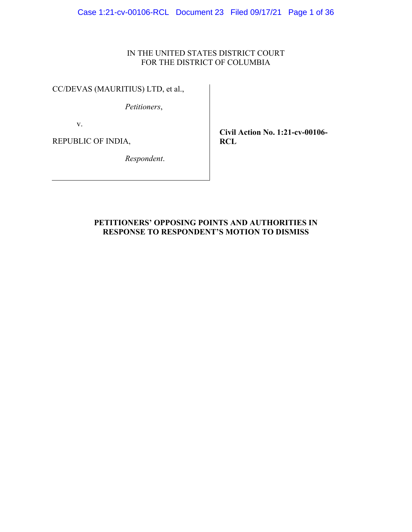### IN THE UNITED STATES DISTRICT COURT FOR THE DISTRICT OF COLUMBIA

CC/DEVAS (MAURITIUS) LTD, et al.,

*Petitioners*,

v.

REPUBLIC OF INDIA,

**Civil Action No. 1:21-cv-00106- RCL** 

*Respondent*.

## **PETITIONERS' OPPOSING POINTS AND AUTHORITIES IN RESPONSE TO RESPONDENT'S MOTION TO DISMISS**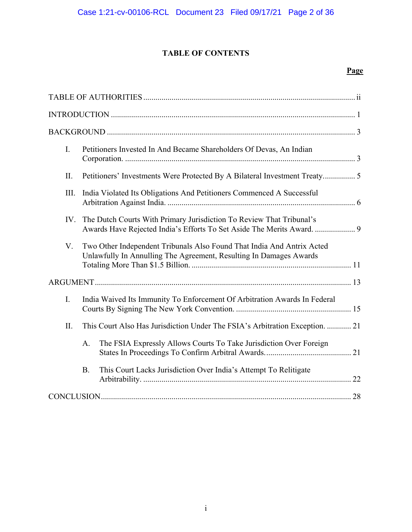## **TABLE OF CONTENTS**

# Page

| I.   |                                                                           | Petitioners Invested In And Became Shareholders Of Devas, An Indian                                                                            |
|------|---------------------------------------------------------------------------|------------------------------------------------------------------------------------------------------------------------------------------------|
| II.  |                                                                           | Petitioners' Investments Were Protected By A Bilateral Investment Treaty 5                                                                     |
| III. |                                                                           | India Violated Its Obligations And Petitioners Commenced A Successful                                                                          |
| IV.  |                                                                           | The Dutch Courts With Primary Jurisdiction To Review That Tribunal's<br>Awards Have Rejected India's Efforts To Set Aside The Merits Award.  9 |
| V.   |                                                                           | Two Other Independent Tribunals Also Found That India And Antrix Acted<br>Unlawfully In Annulling The Agreement, Resulting In Damages Awards   |
|      |                                                                           |                                                                                                                                                |
| I.   | India Waived Its Immunity To Enforcement Of Arbitration Awards In Federal |                                                                                                                                                |
| II.  |                                                                           | This Court Also Has Jurisdiction Under The FSIA's Arbitration Exception.  21                                                                   |
|      | A.                                                                        | The FSIA Expressly Allows Courts To Take Jurisdiction Over Foreign                                                                             |
|      | <b>B.</b>                                                                 | This Court Lacks Jurisdiction Over India's Attempt To Relitigate                                                                               |
|      |                                                                           |                                                                                                                                                |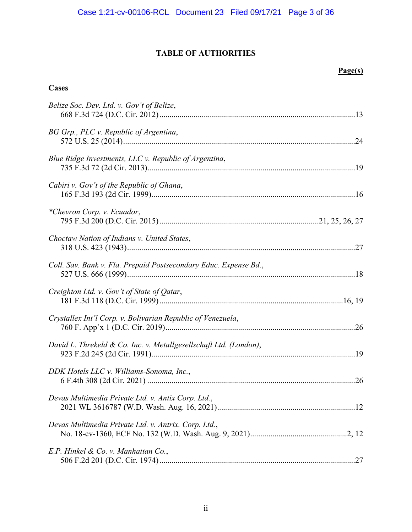## **TABLE OF AUTHORITIES**

## **Page(s)**

## **Cases**

| Belize Soc. Dev. Ltd. v. Gov't of Belize,                         |
|-------------------------------------------------------------------|
| BG Grp., PLC v. Republic of Argentina,                            |
| Blue Ridge Investments, LLC v. Republic of Argentina,             |
| Cabiri v. Gov't of the Republic of Ghana,                         |
| *Chevron Corp. v. Ecuador,                                        |
| Choctaw Nation of Indians v. United States,                       |
| Coll. Sav. Bank v. Fla. Prepaid Postsecondary Educ. Expense Bd.,  |
| Creighton Ltd. v. Gov't of State of Qatar,                        |
| Crystallex Int'l Corp. v. Bolivarian Republic of Venezuela,       |
| David L. Threkeld & Co. Inc. v. Metallgesellschaft Ltd. (London), |
| DDK Hotels LLC v. Williams-Sonoma, Inc.,                          |
| Devas Multimedia Private Ltd. v. Antix Corp. Ltd.,                |
| Devas Multimedia Private Ltd. v. Antrix. Corp. Ltd.,              |
| E.P. Hinkel & Co. v. Manhattan Co.,                               |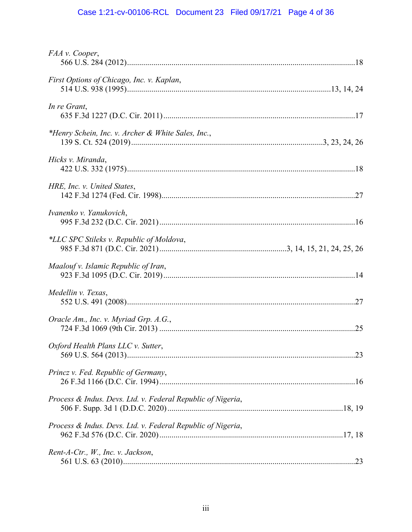## Case 1:21-cv-00106-RCL Document 23 Filed 09/17/21 Page 4 of 36

| FAA v. Cooper,                                              |  |
|-------------------------------------------------------------|--|
| First Options of Chicago, Inc. v. Kaplan,                   |  |
| In re Grant,                                                |  |
| *Henry Schein, Inc. v. Archer & White Sales, Inc.,          |  |
| Hicks v. Miranda,                                           |  |
| HRE, Inc. v. United States,                                 |  |
| Ivanenko v. Yanukovich,                                     |  |
| *LLC SPC Stileks v. Republic of Moldova,                    |  |
| Maalouf v. Islamic Republic of Iran,                        |  |
| Medellin v. Texas,                                          |  |
| Oracle Am., Inc. v. Myriad Grp. A.G.,                       |  |
| Oxford Health Plans LLC v. Sutter,                          |  |
| Princz v. Fed. Republic of Germany,                         |  |
| Process & Indus. Devs. Ltd. v. Federal Republic of Nigeria, |  |
| Process & Indus. Devs. Ltd. v. Federal Republic of Nigeria, |  |
| Rent-A-Ctr., W., Inc. v. Jackson,                           |  |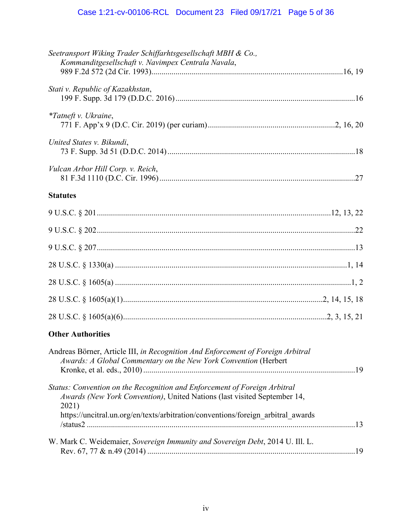## Case 1:21-cv-00106-RCL Document 23 Filed 09/17/21 Page 5 of 36

| Seetransport Wiking Trader Schiffarhtsgesellschaft MBH & Co.,<br>Kommanditgesellschaft v. Navimpex Centrala Navala,                                                                                                                                |  |
|----------------------------------------------------------------------------------------------------------------------------------------------------------------------------------------------------------------------------------------------------|--|
| Stati v. Republic of Kazakhstan,                                                                                                                                                                                                                   |  |
| <i>*Tatneft v. Ukraine,</i>                                                                                                                                                                                                                        |  |
| United States v. Bikundi,                                                                                                                                                                                                                          |  |
| Vulcan Arbor Hill Corp. v. Reich,                                                                                                                                                                                                                  |  |
| <b>Statutes</b>                                                                                                                                                                                                                                    |  |
|                                                                                                                                                                                                                                                    |  |
|                                                                                                                                                                                                                                                    |  |
|                                                                                                                                                                                                                                                    |  |
|                                                                                                                                                                                                                                                    |  |
|                                                                                                                                                                                                                                                    |  |
|                                                                                                                                                                                                                                                    |  |
|                                                                                                                                                                                                                                                    |  |
| <b>Other Authorities</b>                                                                                                                                                                                                                           |  |
| Andreas Börner, Article III, in Recognition And Enforcement of Foreign Arbitral<br>Awards: A Global Commentary on the New York Convention (Herbert                                                                                                 |  |
| Status: Convention on the Recognition and Enforcement of Foreign Arbitral<br>Awards (New York Convention), United Nations (last visited September 14,<br>2021)<br>https://uncitral.un.org/en/texts/arbitration/conventions/foreign arbitral awards |  |
| W. Mark C. Weidemaier, Sovereign Immunity and Sovereign Debt, 2014 U. Ill. L.                                                                                                                                                                      |  |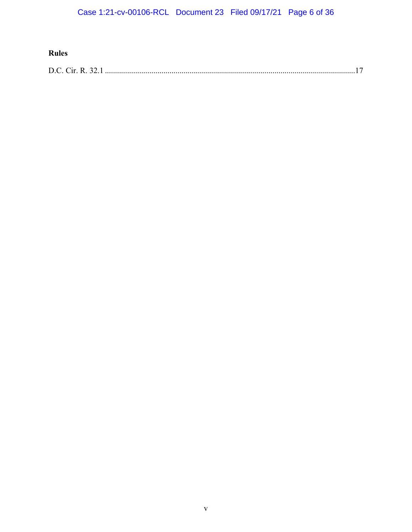## **Rules**

|--|--|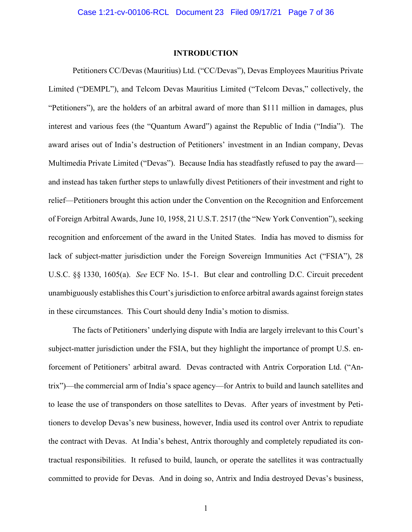#### **INTRODUCTION**

Petitioners CC/Devas (Mauritius) Ltd. ("CC/Devas"), Devas Employees Mauritius Private Limited ("DEMPL"), and Telcom Devas Mauritius Limited ("Telcom Devas," collectively, the "Petitioners"), are the holders of an arbitral award of more than \$111 million in damages, plus interest and various fees (the "Quantum Award") against the Republic of India ("India"). The award arises out of India's destruction of Petitioners' investment in an Indian company, Devas Multimedia Private Limited ("Devas"). Because India has steadfastly refused to pay the award and instead has taken further steps to unlawfully divest Petitioners of their investment and right to relief—Petitioners brought this action under the Convention on the Recognition and Enforcement of Foreign Arbitral Awards, June 10, 1958, 21 U.S.T. 2517 (the "New York Convention"), seeking recognition and enforcement of the award in the United States. India has moved to dismiss for lack of subject-matter jurisdiction under the Foreign Sovereign Immunities Act ("FSIA"), 28 U.S.C. §§ 1330, 1605(a). *See* ECF No. 15-1. But clear and controlling D.C. Circuit precedent unambiguously establishes this Court's jurisdiction to enforce arbitral awards against foreign states in these circumstances. This Court should deny India's motion to dismiss.

The facts of Petitioners' underlying dispute with India are largely irrelevant to this Court's subject-matter jurisdiction under the FSIA, but they highlight the importance of prompt U.S. enforcement of Petitioners' arbitral award. Devas contracted with Antrix Corporation Ltd. ("Antrix")—the commercial arm of India's space agency—for Antrix to build and launch satellites and to lease the use of transponders on those satellites to Devas. After years of investment by Petitioners to develop Devas's new business, however, India used its control over Antrix to repudiate the contract with Devas. At India's behest, Antrix thoroughly and completely repudiated its contractual responsibilities. It refused to build, launch, or operate the satellites it was contractually committed to provide for Devas. And in doing so, Antrix and India destroyed Devas's business,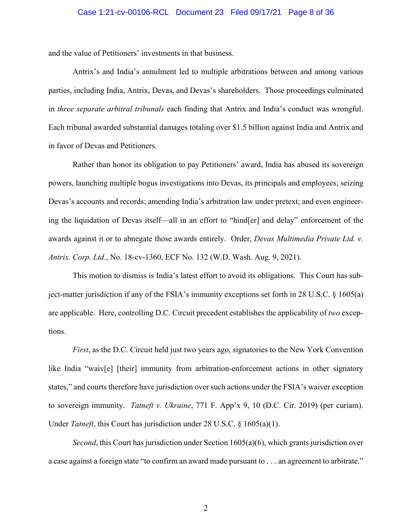#### Case 1:21-cv-00106-RCL Document 23 Filed 09/17/21 Page 8 of 36

and the value of Petitioners' investments in that business.

Antrix's and India's annulment led to multiple arbitrations between and among various parties, including India, Antrix, Devas, and Devas's shareholders. Those proceedings culminated in *three separate arbitral tribunals* each finding that Antrix and India's conduct was wrongful. Each tribunal awarded substantial damages totaling over \$1.5 billion against India and Antrix and in favor of Devas and Petitioners.

Rather than honor its obligation to pay Petitioners' award, India has abused its sovereign powers, launching multiple bogus investigations into Devas, its principals and employees; seizing Devas's accounts and records; amending India's arbitration law under pretext; and even engineering the liquidation of Devas itself—all in an effort to "hind[er] and delay" enforcement of the awards against it or to abnegate those awards entirely. Order, *Devas Multimedia Private Ltd. v. Antrix. Corp. Ltd.*, No. 18-cv-1360, ECF No. 132 (W.D. Wash. Aug. 9, 2021).

This motion to dismiss is India's latest effort to avoid its obligations. This Court has subject-matter jurisdiction if any of the FSIA's immunity exceptions set forth in 28 U.S.C. § 1605(a) are applicable. Here, controlling D.C. Circuit precedent establishes the applicability of *two* exceptions.

*First*, as the D.C. Circuit held just two years ago, signatories to the New York Convention like India "waiv[e] [their] immunity from arbitration-enforcement actions in other signatory states," and courts therefore have jurisdiction over such actions under the FSIA's waiver exception to sovereign immunity. *Tatneft v. Ukraine*, 771 F. App'x 9, 10 (D.C. Cir. 2019) (per curiam). Under *Tatneft*, this Court has jurisdiction under 28 U.S.C. § 1605(a)(1).

*Second*, this Court has jurisdiction under Section 1605(a)(6), which grants jurisdiction over a case against a foreign state "to confirm an award made pursuant to . . . an agreement to arbitrate."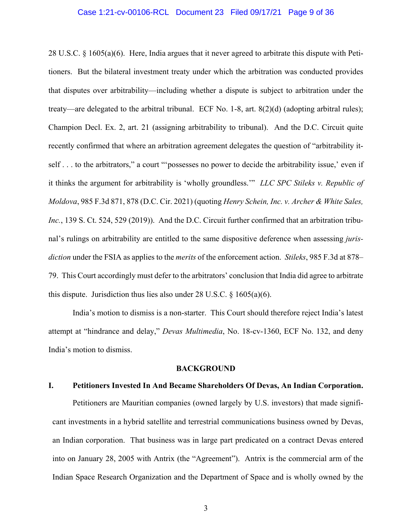#### Case 1:21-cv-00106-RCL Document 23 Filed 09/17/21 Page 9 of 36

28 U.S.C. § 1605(a)(6). Here, India argues that it never agreed to arbitrate this dispute with Petitioners. But the bilateral investment treaty under which the arbitration was conducted provides that disputes over arbitrability—including whether a dispute is subject to arbitration under the treaty—are delegated to the arbitral tribunal. ECF No. 1-8, art. 8(2)(d) (adopting arbitral rules); Champion Decl. Ex. 2, art. 21 (assigning arbitrability to tribunal). And the D.C. Circuit quite recently confirmed that where an arbitration agreement delegates the question of "arbitrability itself . . . to the arbitrators," a court ""possesses no power to decide the arbitrability issue,' even if it thinks the argument for arbitrability is 'wholly groundless.'" *LLC SPC Stileks v. Republic of Moldova*, 985 F.3d 871, 878 (D.C. Cir. 2021) (quoting *Henry Schein, Inc. v. Archer & White Sales, Inc.*, 139 S. Ct. 524, 529 (2019)). And the D.C. Circuit further confirmed that an arbitration tribunal's rulings on arbitrability are entitled to the same dispositive deference when assessing *jurisdiction* under the FSIA as applies to the *merits* of the enforcement action. *Stileks*, 985 F.3d at 878– 79.This Court accordingly must defer to the arbitrators' conclusion that India did agree to arbitrate this dispute. Jurisdiction thus lies also under 28 U.S.C.  $\S$  1605(a)(6).

India's motion to dismiss is a non-starter. This Court should therefore reject India's latest attempt at "hindrance and delay," *Devas Multimedia*, No. 18-cv-1360, ECF No. 132, and deny India's motion to dismiss.

#### **BACKGROUND**

#### **I. Petitioners Invested In And Became Shareholders Of Devas, An Indian Corporation.**

Petitioners are Mauritian companies (owned largely by U.S. investors) that made significant investments in a hybrid satellite and terrestrial communications business owned by Devas, an Indian corporation. That business was in large part predicated on a contract Devas entered into on January 28, 2005 with Antrix (the "Agreement"). Antrix is the commercial arm of the Indian Space Research Organization and the Department of Space and is wholly owned by the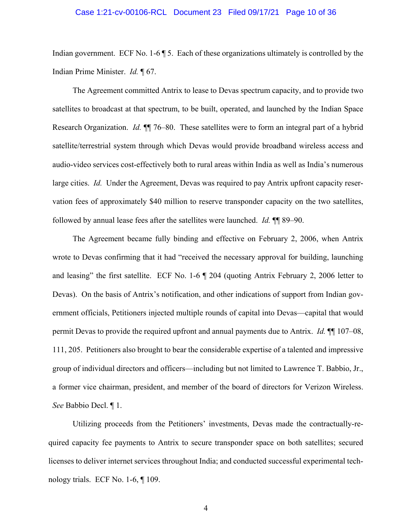#### Case 1:21-cv-00106-RCL Document 23 Filed 09/17/21 Page 10 of 36

Indian government. ECF No. 1-6  $\degree$  5. Each of these organizations ultimately is controlled by the Indian Prime Minister. *Id.* ¶ 67.

The Agreement committed Antrix to lease to Devas spectrum capacity, and to provide two satellites to broadcast at that spectrum, to be built, operated, and launched by the Indian Space Research Organization. *Id.* ¶¶ 76–80. These satellites were to form an integral part of a hybrid satellite/terrestrial system through which Devas would provide broadband wireless access and audio-video services cost-effectively both to rural areas within India as well as India's numerous large cities. *Id.* Under the Agreement, Devas was required to pay Antrix upfront capacity reservation fees of approximately \$40 million to reserve transponder capacity on the two satellites, followed by annual lease fees after the satellites were launched. *Id.* ¶¶ 89–90.

The Agreement became fully binding and effective on February 2, 2006, when Antrix wrote to Devas confirming that it had "received the necessary approval for building, launching and leasing" the first satellite. ECF No. 1-6 ¶ 204 (quoting Antrix February 2, 2006 letter to Devas). On the basis of Antrix's notification, and other indications of support from Indian government officials, Petitioners injected multiple rounds of capital into Devas—capital that would permit Devas to provide the required upfront and annual payments due to Antrix. *Id.* ¶¶ 107–08, 111, 205. Petitioners also brought to bear the considerable expertise of a talented and impressive group of individual directors and officers—including but not limited to Lawrence T. Babbio, Jr., a former vice chairman, president, and member of the board of directors for Verizon Wireless. *See* Babbio Decl. ¶ 1.

Utilizing proceeds from the Petitioners' investments, Devas made the contractually-required capacity fee payments to Antrix to secure transponder space on both satellites; secured licenses to deliver internet services throughout India; and conducted successful experimental technology trials. ECF No. 1-6, ¶ 109.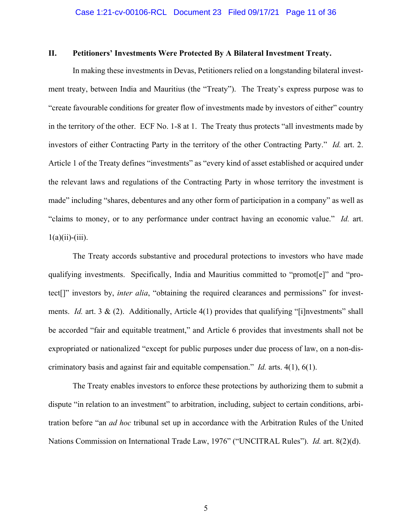#### **II. Petitioners' Investments Were Protected By A Bilateral Investment Treaty.**

In making these investments in Devas, Petitioners relied on a longstanding bilateral investment treaty, between India and Mauritius (the "Treaty"). The Treaty's express purpose was to "create favourable conditions for greater flow of investments made by investors of either" country in the territory of the other. ECF No. 1-8 at 1. The Treaty thus protects "all investments made by investors of either Contracting Party in the territory of the other Contracting Party." *Id.* art. 2. Article 1 of the Treaty defines "investments" as "every kind of asset established or acquired under the relevant laws and regulations of the Contracting Party in whose territory the investment is made" including "shares, debentures and any other form of participation in a company" as well as "claims to money, or to any performance under contract having an economic value." *Id.* art.  $1(a)(ii)-(iii)$ .

The Treaty accords substantive and procedural protections to investors who have made qualifying investments. Specifically, India and Mauritius committed to "promot[e]" and "protect[]" investors by, *inter alia*, "obtaining the required clearances and permissions" for investments. *Id.* art. 3 & (2). Additionally, Article 4(1) provides that qualifying "[i]nvestments" shall be accorded "fair and equitable treatment," and Article 6 provides that investments shall not be expropriated or nationalized "except for public purposes under due process of law, on a non-discriminatory basis and against fair and equitable compensation." *Id.* arts. 4(1), 6(1).

The Treaty enables investors to enforce these protections by authorizing them to submit a dispute "in relation to an investment" to arbitration, including, subject to certain conditions, arbitration before "an *ad hoc* tribunal set up in accordance with the Arbitration Rules of the United Nations Commission on International Trade Law, 1976" ("UNCITRAL Rules"). *Id.* art. 8(2)(d).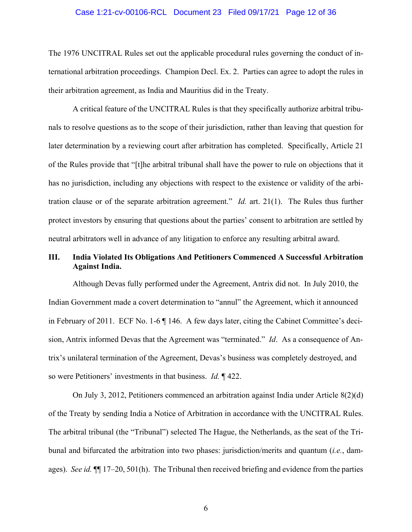#### Case 1:21-cv-00106-RCL Document 23 Filed 09/17/21 Page 12 of 36

The 1976 UNCITRAL Rules set out the applicable procedural rules governing the conduct of international arbitration proceedings. Champion Decl. Ex. 2. Parties can agree to adopt the rules in their arbitration agreement, as India and Mauritius did in the Treaty.

A critical feature of the UNCITRAL Rules is that they specifically authorize arbitral tribunals to resolve questions as to the scope of their jurisdiction, rather than leaving that question for later determination by a reviewing court after arbitration has completed. Specifically, Article 21 of the Rules provide that "[t]he arbitral tribunal shall have the power to rule on objections that it has no jurisdiction, including any objections with respect to the existence or validity of the arbitration clause or of the separate arbitration agreement." *Id.* art. 21(1). The Rules thus further protect investors by ensuring that questions about the parties' consent to arbitration are settled by neutral arbitrators well in advance of any litigation to enforce any resulting arbitral award.

## **III. India Violated Its Obligations And Petitioners Commenced A Successful Arbitration Against India.**

Although Devas fully performed under the Agreement, Antrix did not. In July 2010, the Indian Government made a covert determination to "annul" the Agreement, which it announced in February of 2011. ECF No. 1-6 ¶ 146. A few days later, citing the Cabinet Committee's decision, Antrix informed Devas that the Agreement was "terminated." *Id*. As a consequence of Antrix's unilateral termination of the Agreement, Devas's business was completely destroyed, and so were Petitioners' investments in that business. *Id.* ¶ 422.

On July 3, 2012, Petitioners commenced an arbitration against India under Article 8(2)(d) of the Treaty by sending India a Notice of Arbitration in accordance with the UNCITRAL Rules. The arbitral tribunal (the "Tribunal") selected The Hague, the Netherlands, as the seat of the Tribunal and bifurcated the arbitration into two phases: jurisdiction/merits and quantum (*i.e.*, damages). *See id.* ¶¶ 17–20, 501(h). The Tribunal then received briefing and evidence from the parties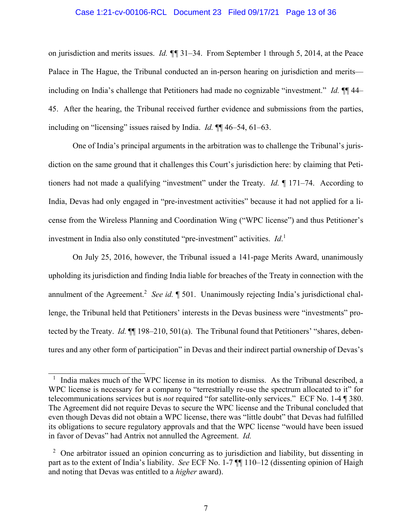#### Case 1:21-cv-00106-RCL Document 23 Filed 09/17/21 Page 13 of 36

on jurisdiction and merits issues. *Id. ¶¶* 31–34. From September 1 through 5, 2014, at the Peace Palace in The Hague, the Tribunal conducted an in-person hearing on jurisdiction and merits including on India's challenge that Petitioners had made no cognizable "investment." *Id.* ¶¶ 44– 45. After the hearing, the Tribunal received further evidence and submissions from the parties, including on "licensing" issues raised by India. *Id.* ¶¶ 46–54, 61–63.

One of India's principal arguments in the arbitration was to challenge the Tribunal's jurisdiction on the same ground that it challenges this Court's jurisdiction here: by claiming that Petitioners had not made a qualifying "investment" under the Treaty. *Id.* ¶ 171–74. According to India, Devas had only engaged in "pre-investment activities" because it had not applied for a license from the Wireless Planning and Coordination Wing ("WPC license") and thus Petitioner's investment in India also only constituted "pre-investment" activities. *Id*. 1

On July 25, 2016, however, the Tribunal issued a 141-page Merits Award, unanimously upholding its jurisdiction and finding India liable for breaches of the Treaty in connection with the annulment of the Agreement.<sup>2</sup> See id. [ 501. Unanimously rejecting India's jurisdictional challenge, the Tribunal held that Petitioners' interests in the Devas business were "investments" protected by the Treaty. *Id.* ¶¶ 198–210, 501(a). The Tribunal found that Petitioners' "shares, debentures and any other form of participation" in Devas and their indirect partial ownership of Devas's

<sup>&</sup>lt;sup>1</sup> India makes much of the WPC license in its motion to dismiss. As the Tribunal described, a WPC license is necessary for a company to "terrestrially re-use the spectrum allocated to it" for telecommunications services but is *not* required "for satellite-only services." ECF No. 1-4 ¶ 380. The Agreement did not require Devas to secure the WPC license and the Tribunal concluded that even though Devas did not obtain a WPC license, there was "little doubt" that Devas had fulfilled its obligations to secure regulatory approvals and that the WPC license "would have been issued in favor of Devas" had Antrix not annulled the Agreement. *Id.*

 $2$  One arbitrator issued an opinion concurring as to jurisdiction and liability, but dissenting in part as to the extent of India's liability. *See* ECF No. 1-7 ¶¶ 110–12 (dissenting opinion of Haigh and noting that Devas was entitled to a *higher* award).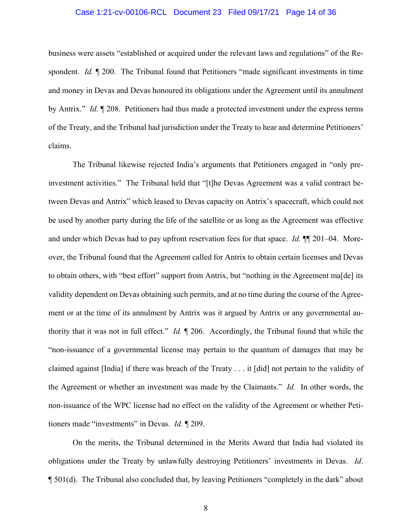#### Case 1:21-cv-00106-RCL Document 23 Filed 09/17/21 Page 14 of 36

business were assets "established or acquired under the relevant laws and regulations" of the Respondent. *Id.* ¶ 200. The Tribunal found that Petitioners "made significant investments in time and money in Devas and Devas honoured its obligations under the Agreement until its annulment by Antrix." *Id.* ¶ 208. Petitioners had thus made a protected investment under the express terms of the Treaty, and the Tribunal had jurisdiction under the Treaty to hear and determine Petitioners' claims.

The Tribunal likewise rejected India's arguments that Petitioners engaged in "only preinvestment activities." The Tribunal held that "[t]he Devas Agreement was a valid contract between Devas and Antrix" which leased to Devas capacity on Antrix's spacecraft, which could not be used by another party during the life of the satellite or as long as the Agreement was effective and under which Devas had to pay upfront reservation fees for that space. *Id.* ¶¶ 201–04. Moreover, the Tribunal found that the Agreement called for Antrix to obtain certain licenses and Devas to obtain others, with "best effort" support from Antrix, but "nothing in the Agreement ma[de] its validity dependent on Devas obtaining such permits, and at no time during the course of the Agreement or at the time of its annulment by Antrix was it argued by Antrix or any governmental authority that it was not in full effect." *Id.* ¶ 206. Accordingly, the Tribunal found that while the "non-issuance of a governmental license may pertain to the quantum of damages that may be claimed against [India] if there was breach of the Treaty . . . it [did] not pertain to the validity of the Agreement or whether an investment was made by the Claimants." *Id.* In other words, the non-issuance of the WPC license had no effect on the validity of the Agreement or whether Petitioners made "investments" in Devas. *Id.* ¶ 209.

On the merits, the Tribunal determined in the Merits Award that India had violated its obligations under the Treaty by unlawfully destroying Petitioners' investments in Devas. *Id*. ¶ 501(d). The Tribunal also concluded that, by leaving Petitioners "completely in the dark" about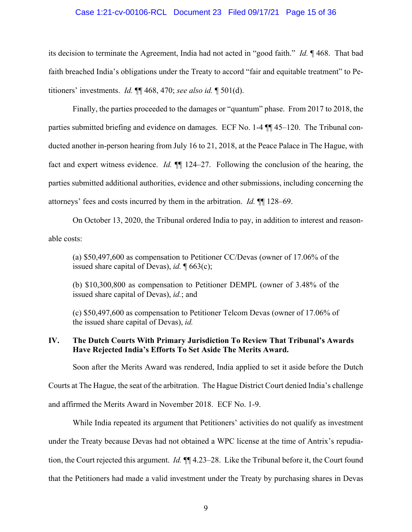#### Case 1:21-cv-00106-RCL Document 23 Filed 09/17/21 Page 15 of 36

its decision to terminate the Agreement, India had not acted in "good faith." *Id.* ¶ 468. That bad faith breached India's obligations under the Treaty to accord "fair and equitable treatment" to Petitioners' investments. *Id.* ¶¶ 468, 470; *see also id.* ¶ 501(d).

Finally, the parties proceeded to the damages or "quantum" phase. From 2017 to 2018, the parties submitted briefing and evidence on damages. ECF No. 1-4 ¶¶ 45–120. The Tribunal conducted another in-person hearing from July 16 to 21, 2018, at the Peace Palace in The Hague, with fact and expert witness evidence. *Id.* ¶¶ 124–27. Following the conclusion of the hearing, the parties submitted additional authorities, evidence and other submissions, including concerning the attorneys' fees and costs incurred by them in the arbitration. *Id.* ¶¶ 128–69.

On October 13, 2020, the Tribunal ordered India to pay, in addition to interest and reasonable costs:

(a) \$50,497,600 as compensation to Petitioner CC/Devas (owner of 17.06% of the issued share capital of Devas), *id.* ¶ 663(c);

(b) \$10,300,800 as compensation to Petitioner DEMPL (owner of 3.48% of the issued share capital of Devas), *id.*; and

(c) \$50,497,600 as compensation to Petitioner Telcom Devas (owner of 17.06% of the issued share capital of Devas), *id.* 

## **IV. The Dutch Courts With Primary Jurisdiction To Review That Tribunal's Awards Have Rejected India's Efforts To Set Aside The Merits Award.**

Soon after the Merits Award was rendered, India applied to set it aside before the Dutch Courts at The Hague, the seat of the arbitration. The Hague District Court denied India's challenge

and affirmed the Merits Award in November 2018. ECF No. 1-9.

While India repeated its argument that Petitioners' activities do not qualify as investment under the Treaty because Devas had not obtained a WPC license at the time of Antrix's repudiation, the Court rejected this argument. *Id.* ¶¶ 4.23–28. Like the Tribunal before it, the Court found that the Petitioners had made a valid investment under the Treaty by purchasing shares in Devas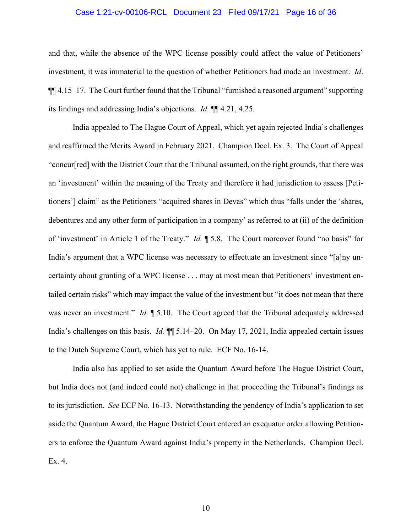#### Case 1:21-cv-00106-RCL Document 23 Filed 09/17/21 Page 16 of 36

and that, while the absence of the WPC license possibly could affect the value of Petitioners' investment, it was immaterial to the question of whether Petitioners had made an investment. *Id*. ¶¶ 4.15–17. The Court further found that the Tribunal "furnished a reasoned argument" supporting its findings and addressing India's objections. *Id.* ¶¶ 4.21, 4.25.

India appealed to The Hague Court of Appeal, which yet again rejected India's challenges and reaffirmed the Merits Award in February 2021. Champion Decl. Ex. 3. The Court of Appeal "concur[red] with the District Court that the Tribunal assumed, on the right grounds, that there was an 'investment' within the meaning of the Treaty and therefore it had jurisdiction to assess [Petitioners'] claim" as the Petitioners "acquired shares in Devas" which thus "falls under the 'shares, debentures and any other form of participation in a company' as referred to at (ii) of the definition of 'investment' in Article 1 of the Treaty." *Id.* ¶ 5.8. The Court moreover found "no basis" for India's argument that a WPC license was necessary to effectuate an investment since "[a]ny uncertainty about granting of a WPC license . . . may at most mean that Petitioners' investment entailed certain risks" which may impact the value of the investment but "it does not mean that there was never an investment." *Id.* 15.10. The Court agreed that the Tribunal adequately addressed India's challenges on this basis. *Id.* ¶¶ 5.14–20. On May 17, 2021, India appealed certain issues to the Dutch Supreme Court, which has yet to rule. ECF No. 16-14.

India also has applied to set aside the Quantum Award before The Hague District Court, but India does not (and indeed could not) challenge in that proceeding the Tribunal's findings as to its jurisdiction. *See* ECF No. 16-13. Notwithstanding the pendency of India's application to set aside the Quantum Award, the Hague District Court entered an exequatur order allowing Petitioners to enforce the Quantum Award against India's property in the Netherlands. Champion Decl. Ex. 4.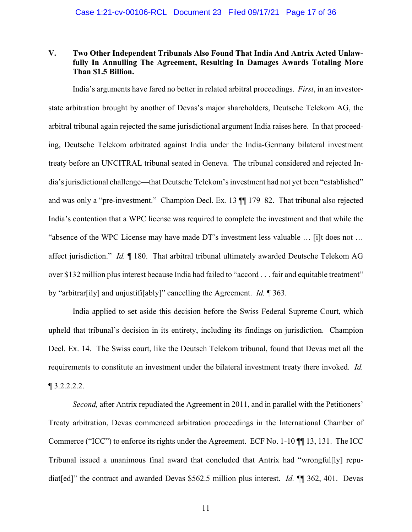## **V. Two Other Independent Tribunals Also Found That India And Antrix Acted Unlawfully In Annulling The Agreement, Resulting In Damages Awards Totaling More Than \$1.5 Billion.**

India's arguments have fared no better in related arbitral proceedings. *First*, in an investorstate arbitration brought by another of Devas's major shareholders, Deutsche Telekom AG, the arbitral tribunal again rejected the same jurisdictional argument India raises here. In that proceeding, Deutsche Telekom arbitrated against India under the India-Germany bilateral investment treaty before an UNCITRAL tribunal seated in Geneva. The tribunal considered and rejected India's jurisdictional challenge—that Deutsche Telekom's investment had not yet been "established" and was only a "pre-investment." Champion Decl. Ex*.* 13 ¶¶ 179–82. That tribunal also rejected India's contention that a WPC license was required to complete the investment and that while the "absence of the WPC License may have made DT's investment less valuable … [i]t does not … affect jurisdiction." *Id.* ¶ 180. That arbitral tribunal ultimately awarded Deutsche Telekom AG over \$132 million plus interest because India had failed to "accord . . . fair and equitable treatment" by "arbitrar[ily] and unjustifi[ably]" cancelling the Agreement. *Id.* ¶ 363.

India applied to set aside this decision before the Swiss Federal Supreme Court, which upheld that tribunal's decision in its entirety, including its findings on jurisdiction. Champion Decl. Ex. 14. The Swiss court, like the Deutsch Telekom tribunal, found that Devas met all the requirements to constitute an investment under the bilateral investment treaty there invoked. *Id.*  $\P$  3.2.2.2.2.

*Second*, after Antrix repudiated the Agreement in 2011, and in parallel with the Petitioners' Treaty arbitration, Devas commenced arbitration proceedings in the International Chamber of Commerce ("ICC") to enforce its rights under the Agreement. ECF No. 1-10 ¶¶ 13, 131. The ICC Tribunal issued a unanimous final award that concluded that Antrix had "wrongful[ly] repudiat[ed]" the contract and awarded Devas \$562.5 million plus interest. *Id.* ¶¶ 362, 401. Devas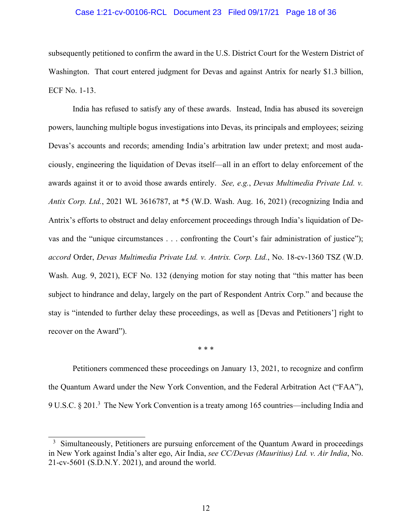#### Case 1:21-cv-00106-RCL Document 23 Filed 09/17/21 Page 18 of 36

subsequently petitioned to confirm the award in the U.S. District Court for the Western District of Washington. That court entered judgment for Devas and against Antrix for nearly \$1.3 billion, ECF No. 1-13.

India has refused to satisfy any of these awards. Instead, India has abused its sovereign powers, launching multiple bogus investigations into Devas, its principals and employees; seizing Devas's accounts and records; amending India's arbitration law under pretext; and most audaciously, engineering the liquidation of Devas itself—all in an effort to delay enforcement of the awards against it or to avoid those awards entirely. *See, e.g.*, *Devas Multimedia Private Ltd. v. Antix Corp. Ltd.*, 2021 WL 3616787, at \*5 (W.D. Wash. Aug. 16, 2021) (recognizing India and Antrix's efforts to obstruct and delay enforcement proceedings through India's liquidation of Devas and the "unique circumstances . . . confronting the Court's fair administration of justice"); *accord* Order, *Devas Multimedia Private Ltd. v. Antrix. Corp. Ltd.*, No. 18-cv-1360 TSZ (W.D. Wash. Aug. 9, 2021), ECF No. 132 (denying motion for stay noting that "this matter has been subject to hindrance and delay, largely on the part of Respondent Antrix Corp." and because the stay is "intended to further delay these proceedings, as well as [Devas and Petitioners'] right to recover on the Award").

\* \* \*

Petitioners commenced these proceedings on January 13, 2021, to recognize and confirm the Quantum Award under the New York Convention, and the Federal Arbitration Act ("FAA"), 9 U.S.C.  $\S 201$ .<sup>3</sup> The New York Convention is a treaty among 165 countries—including India and

 $3$  Simultaneously, Petitioners are pursuing enforcement of the Quantum Award in proceedings in New York against India's alter ego, Air India, *see CC/Devas (Mauritius) Ltd. v. Air India*, No. 21-cv-5601 (S.D.N.Y. 2021), and around the world.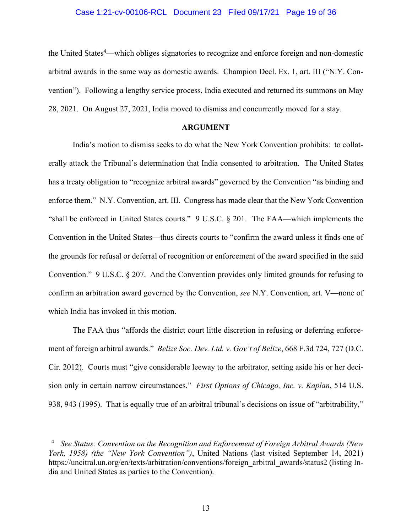#### Case 1:21-cv-00106-RCL Document 23 Filed 09/17/21 Page 19 of 36

the United States<sup>4</sup>—which obliges signatories to recognize and enforce foreign and non-domestic arbitral awards in the same way as domestic awards. Champion Decl. Ex. 1, art. III ("N.Y. Convention"). Following a lengthy service process, India executed and returned its summons on May 28, 2021. On August 27, 2021, India moved to dismiss and concurrently moved for a stay.

#### **ARGUMENT**

India's motion to dismiss seeks to do what the New York Convention prohibits: to collaterally attack the Tribunal's determination that India consented to arbitration. The United States has a treaty obligation to "recognize arbitral awards" governed by the Convention "as binding and enforce them." N.Y. Convention, art. III. Congress has made clear that the New York Convention "shall be enforced in United States courts." 9 U.S.C. § 201. The FAA—which implements the Convention in the United States—thus directs courts to "confirm the award unless it finds one of the grounds for refusal or deferral of recognition or enforcement of the award specified in the said Convention." 9 U.S.C. § 207. And the Convention provides only limited grounds for refusing to confirm an arbitration award governed by the Convention, *see* N.Y. Convention, art. V—none of which India has invoked in this motion.

The FAA thus "affords the district court little discretion in refusing or deferring enforcement of foreign arbitral awards." *Belize Soc. Dev. Ltd. v. Gov't of Belize*, 668 F.3d 724, 727 (D.C. Cir. 2012). Courts must "give considerable leeway to the arbitrator, setting aside his or her decision only in certain narrow circumstances." *First Options of Chicago, Inc. v. Kaplan*, 514 U.S. 938, 943 (1995). That is equally true of an arbitral tribunal's decisions on issue of "arbitrability,"

<sup>4</sup> *See Status: Convention on the Recognition and Enforcement of Foreign Arbitral Awards (New York, 1958) (the "New York Convention")*, United Nations (last visited September 14, 2021) https://uncitral.un.org/en/texts/arbitration/conventions/foreign\_arbitral\_awards/status2 (listing India and United States as parties to the Convention).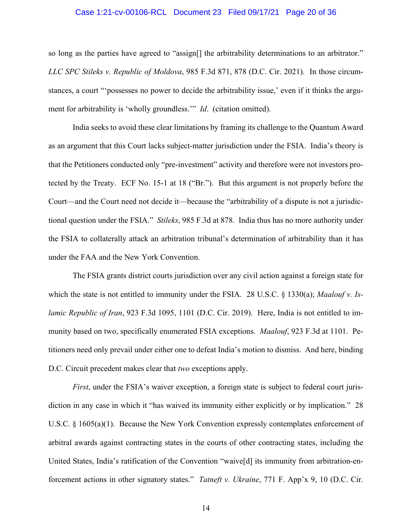#### Case 1:21-cv-00106-RCL Document 23 Filed 09/17/21 Page 20 of 36

so long as the parties have agreed to "assign<sup>[]</sup> the arbitrability determinations to an arbitrator." *LLC SPC Stileks v. Republic of Moldova*, 985 F.3d 871, 878 (D.C. Cir. 2021).In those circumstances, a court "'possesses no power to decide the arbitrability issue,' even if it thinks the argument for arbitrability is 'wholly groundless.'" *Id*. (citation omitted).

India seeks to avoid these clear limitations by framing its challenge to the Quantum Award as an argument that this Court lacks subject-matter jurisdiction under the FSIA. India's theory is that the Petitioners conducted only "pre-investment" activity and therefore were not investors protected by the Treaty. ECF No. 15-1 at 18 ("Br."). But this argument is not properly before the Court—and the Court need not decide it—because the "arbitrability of a dispute is not a jurisdictional question under the FSIA." *Stileks*, 985 F.3d at 878. India thus has no more authority under the FSIA to collaterally attack an arbitration tribunal's determination of arbitrability than it has under the FAA and the New York Convention.

The FSIA grants district courts jurisdiction over any civil action against a foreign state for which the state is not entitled to immunity under the FSIA. 28 U.S.C. § 1330(a); *Maalouf v. Islamic Republic of Iran*, 923 F.3d 1095, 1101 (D.C. Cir. 2019). Here, India is not entitled to immunity based on two, specifically enumerated FSIA exceptions. *Maalouf*, 923 F.3d at 1101. Petitioners need only prevail under either one to defeat India's motion to dismiss. And here, binding D.C. Circuit precedent makes clear that *two* exceptions apply.

*First*, under the FSIA's waiver exception, a foreign state is subject to federal court jurisdiction in any case in which it "has waived its immunity either explicitly or by implication." 28 U.S.C. § 1605(a)(1). Because the New York Convention expressly contemplates enforcement of arbitral awards against contracting states in the courts of other contracting states, including the United States, India's ratification of the Convention "waive[d] its immunity from arbitration-enforcement actions in other signatory states." *Tatneft v. Ukraine*, 771 F. App'x 9, 10 (D.C. Cir.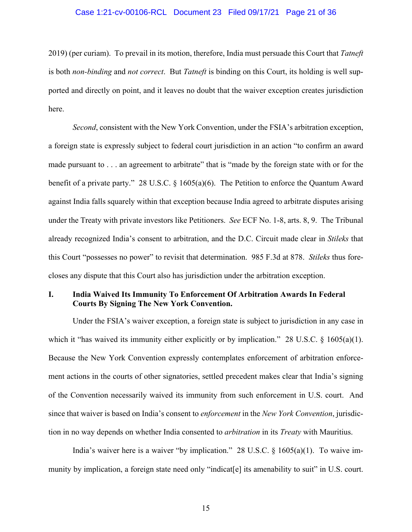#### Case 1:21-cv-00106-RCL Document 23 Filed 09/17/21 Page 21 of 36

2019) (per curiam). To prevail in its motion, therefore, India must persuade this Court that *Tatneft* is both *non-binding* and *not correct*. But *Tatneft* is binding on this Court, its holding is well supported and directly on point, and it leaves no doubt that the waiver exception creates jurisdiction here.

*Second*, consistent with the New York Convention, under the FSIA's arbitration exception, a foreign state is expressly subject to federal court jurisdiction in an action "to confirm an award made pursuant to . . . an agreement to arbitrate" that is "made by the foreign state with or for the benefit of a private party." 28 U.S.C. § 1605(a)(6). The Petition to enforce the Quantum Award against India falls squarely within that exception because India agreed to arbitrate disputes arising under the Treaty with private investors like Petitioners. *See* ECF No. 1-8, arts. 8, 9. The Tribunal already recognized India's consent to arbitration, and the D.C. Circuit made clear in *Stileks* that this Court "possesses no power" to revisit that determination. 985 F.3d at 878. *Stileks* thus forecloses any dispute that this Court also has jurisdiction under the arbitration exception.

#### **I. India Waived Its Immunity To Enforcement Of Arbitration Awards In Federal Courts By Signing The New York Convention.**

Under the FSIA's waiver exception, a foreign state is subject to jurisdiction in any case in which it "has waived its immunity either explicitly or by implication." 28 U.S.C. § 1605(a)(1). Because the New York Convention expressly contemplates enforcement of arbitration enforcement actions in the courts of other signatories, settled precedent makes clear that India's signing of the Convention necessarily waived its immunity from such enforcement in U.S. court. And since that waiver is based on India's consent to *enforcement* in the *New York Convention*, jurisdiction in no way depends on whether India consented to *arbitration* in its *Treaty* with Mauritius.

India's waiver here is a waiver "by implication." 28 U.S.C.  $\S$  1605(a)(1). To waive immunity by implication, a foreign state need only "indicat[e] its amenability to suit" in U.S. court.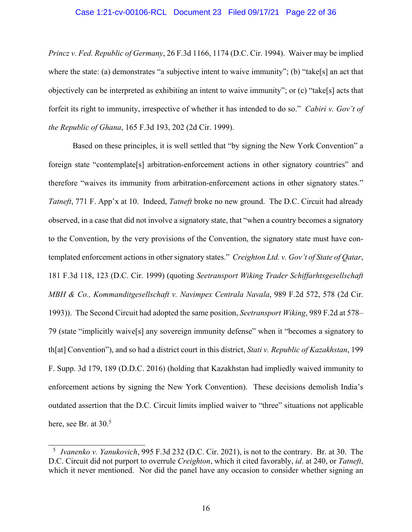#### Case 1:21-cv-00106-RCL Document 23 Filed 09/17/21 Page 22 of 36

*Princz v. Fed. Republic of Germany*, 26 F.3d 1166, 1174 (D.C. Cir. 1994). Waiver may be implied where the state: (a) demonstrates "a subjective intent to waive immunity"; (b) "take[s] an act that objectively can be interpreted as exhibiting an intent to waive immunity"; or (c) "take[s] acts that forfeit its right to immunity, irrespective of whether it has intended to do so." *Cabiri v. Gov't of the Republic of Ghana*, 165 F.3d 193, 202 (2d Cir. 1999).

Based on these principles, it is well settled that "by signing the New York Convention" a foreign state "contemplate[s] arbitration-enforcement actions in other signatory countries" and therefore "waives its immunity from arbitration-enforcement actions in other signatory states." *Tatneft*, 771 F. App'x at 10. Indeed, *Tatneft* broke no new ground. The D.C. Circuit had already observed, in a case that did not involve a signatory state, that "when a country becomes a signatory to the Convention, by the very provisions of the Convention, the signatory state must have contemplated enforcement actions in other signatory states." *Creighton Ltd. v. Gov't of State of Qatar*, 181 F.3d 118, 123 (D.C. Cir. 1999) (quoting *Seetransport Wiking Trader Schiffarhtsgesellschaft MBH & Co., Kommanditgesellschaft v. Navimpex Centrala Navala*, 989 F.2d 572, 578 (2d Cir. 1993)). The Second Circuit had adopted the same position, *Seetransport Wiking*, 989 F.2d at 578– 79 (state "implicitly waive[s] any sovereign immunity defense" when it "becomes a signatory to th[at] Convention"), and so had a district court in this district, *Stati v. Republic of Kazakhstan*, 199 F. Supp. 3d 179, 189 (D.D.C. 2016) (holding that Kazakhstan had impliedly waived immunity to enforcement actions by signing the New York Convention). These decisions demolish India's outdated assertion that the D.C. Circuit limits implied waiver to "three" situations not applicable here, see Br. at 30.<sup>5</sup>

<sup>5</sup> *Ivanenko v. Yanukovich*, 995 F.3d 232 (D.C. Cir. 2021), is not to the contrary. Br. at 30. The D.C. Circuit did not purport to overrule *Creighton*, which it cited favorably, *id*. at 240, or *Tatneft*, which it never mentioned. Nor did the panel have any occasion to consider whether signing an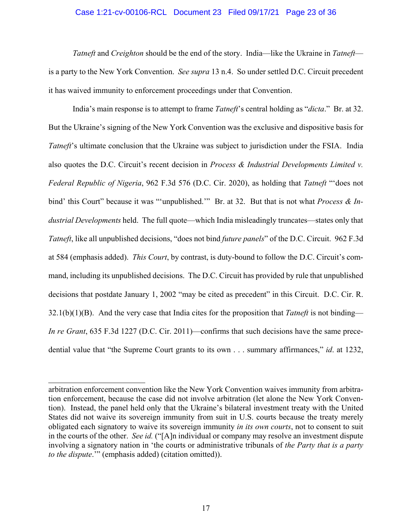#### Case 1:21-cv-00106-RCL Document 23 Filed 09/17/21 Page 23 of 36

*Tatneft* and *Creighton* should be the end of the story. India—like the Ukraine in *Tatneft* is a party to the New York Convention. *See supra* 13 n.4. So under settled D.C. Circuit precedent it has waived immunity to enforcement proceedings under that Convention.

India's main response is to attempt to frame *Tatneft*'s central holding as "*dicta*." Br. at 32. But the Ukraine's signing of the New York Convention was the exclusive and dispositive basis for *Tatneft*'s ultimate conclusion that the Ukraine was subject to jurisdiction under the FSIA. India also quotes the D.C. Circuit's recent decision in *Process & Industrial Developments Limited v. Federal Republic of Nigeria*, 962 F.3d 576 (D.C. Cir. 2020), as holding that *Tatneft* "'does not bind' this Court" because it was "'unpublished.'" Br. at 32. But that is not what *Process & Industrial Developments* held. The full quote—which India misleadingly truncates—states only that *Tatneft*, like all unpublished decisions, "does not bind *future panels*" of the D.C. Circuit. 962 F.3d at 584 (emphasis added). *This Court*, by contrast, is duty-bound to follow the D.C. Circuit's command, including its unpublished decisions. The D.C. Circuit has provided by rule that unpublished decisions that postdate January 1, 2002 "may be cited as precedent" in this Circuit. D.C. Cir. R. 32.1(b)(1)(B). And the very case that India cites for the proposition that *Tatneft* is not binding— *In re Grant*, 635 F.3d 1227 (D.C. Cir. 2011)—confirms that such decisions have the same precedential value that "the Supreme Court grants to its own . . . summary affirmances," *id*. at 1232,

arbitration enforcement convention like the New York Convention waives immunity from arbitration enforcement, because the case did not involve arbitration (let alone the New York Convention). Instead, the panel held only that the Ukraine's bilateral investment treaty with the United States did not waive its sovereign immunity from suit in U.S. courts because the treaty merely obligated each signatory to waive its sovereign immunity *in its own courts*, not to consent to suit in the courts of the other. *See id.* ("[A]n individual or company may resolve an investment dispute involving a signatory nation in 'the courts or administrative tribunals of *the Party that is a party to the dispute*.'" (emphasis added) (citation omitted)).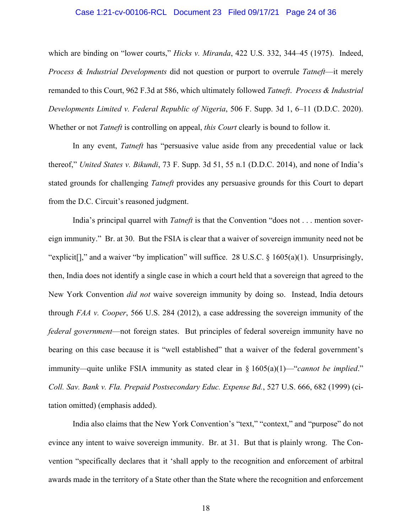#### Case 1:21-cv-00106-RCL Document 23 Filed 09/17/21 Page 24 of 36

which are binding on "lower courts," *Hicks v. Miranda*, 422 U.S. 332, 344–45 (1975). Indeed, *Process & Industrial Developments* did not question or purport to overrule *Tatneft*—it merely remanded to this Court, 962 F.3d at 586, which ultimately followed *Tatneft*. *Process & Industrial Developments Limited v. Federal Republic of Nigeria*, 506 F. Supp. 3d 1, 6–11 (D.D.C. 2020). Whether or not *Tatneft* is controlling on appeal, *this Court* clearly is bound to follow it.

In any event, *Tatneft* has "persuasive value aside from any precedential value or lack thereof," *United States v. Bikundi*, 73 F. Supp. 3d 51, 55 n.1 (D.D.C. 2014), and none of India's stated grounds for challenging *Tatneft* provides any persuasive grounds for this Court to depart from the D.C. Circuit's reasoned judgment.

India's principal quarrel with *Tatneft* is that the Convention "does not . . . mention sovereign immunity." Br. at 30. But the FSIA is clear that a waiver of sovereign immunity need not be "explicit[]," and a waiver "by implication" will suffice. 28 U.S.C.  $\S$  1605(a)(1). Unsurprisingly, then, India does not identify a single case in which a court held that a sovereign that agreed to the New York Convention *did not* waive sovereign immunity by doing so. Instead, India detours through *FAA v. Cooper*, 566 U.S. 284 (2012), a case addressing the sovereign immunity of the *federal government*—not foreign states. But principles of federal sovereign immunity have no bearing on this case because it is "well established" that a waiver of the federal government's immunity*—*quite unlike FSIA immunity as stated clear in § 1605(a)(1)—"*cannot be implied*." *Coll. Sav. Bank v. Fla. Prepaid Postsecondary Educ. Expense Bd.*, 527 U.S. 666, 682 (1999) (citation omitted) (emphasis added).

India also claims that the New York Convention's "text," "context," and "purpose" do not evince any intent to waive sovereign immunity. Br. at 31. But that is plainly wrong. The Convention "specifically declares that it 'shall apply to the recognition and enforcement of arbitral awards made in the territory of a State other than the State where the recognition and enforcement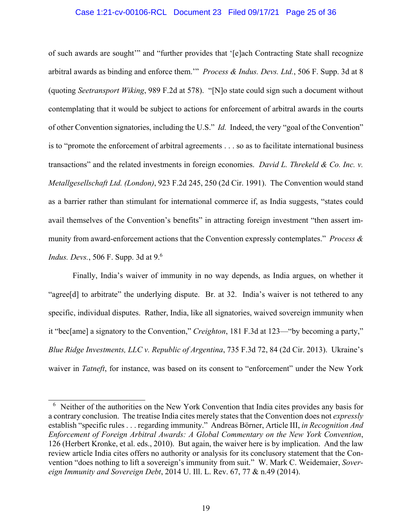#### Case 1:21-cv-00106-RCL Document 23 Filed 09/17/21 Page 25 of 36

of such awards are sought'" and "further provides that '[e]ach Contracting State shall recognize arbitral awards as binding and enforce them.'" *Process & Indus. Devs. Ltd.*, 506 F. Supp. 3d at 8 (quoting *Seetransport Wiking*, 989 F.2d at 578). "[N]o state could sign such a document without contemplating that it would be subject to actions for enforcement of arbitral awards in the courts of other Convention signatories, including the U.S." *Id.* Indeed, the very "goal of the Convention" is to "promote the enforcement of arbitral agreements . . . so as to facilitate international business transactions" and the related investments in foreign economies. *David L. Threkeld & Co. Inc. v. Metallgesellschaft Ltd. (London)*, 923 F.2d 245, 250 (2d Cir. 1991). The Convention would stand as a barrier rather than stimulant for international commerce if, as India suggests, "states could avail themselves of the Convention's benefits" in attracting foreign investment "then assert immunity from award-enforcement actions that the Convention expressly contemplates." *Process & Indus. Devs.*, 506 F. Supp. 3d at 9.6

Finally, India's waiver of immunity in no way depends, as India argues, on whether it "agree<sup>[d]</sup> to arbitrate" the underlying dispute. Br. at 32. India's waiver is not tethered to any specific, individual disputes. Rather, India, like all signatories, waived sovereign immunity when it "bec[ame] a signatory to the Convention," *Creighton*, 181 F.3d at 123—"by becoming a party," *Blue Ridge Investments, LLC v. Republic of Argentina*, 735 F.3d 72, 84 (2d Cir. 2013). Ukraine's waiver in *Tatneft*, for instance, was based on its consent to "enforcement" under the New York

<sup>&</sup>lt;sup>6</sup> Neither of the authorities on the New York Convention that India cites provides any basis for a contrary conclusion. The treatise India cites merely states that the Convention does not *expressly* establish "specific rules . . . regarding immunity." Andreas Börner, Article III, *in Recognition And Enforcement of Foreign Arbitral Awards: A Global Commentary on the New York Convention*, 126 (Herbert Kronke, et al. eds., 2010). But again, the waiver here is by implication. And the law review article India cites offers no authority or analysis for its conclusory statement that the Convention "does nothing to lift a sovereign's immunity from suit." W. Mark C. Weidemaier, *Sovereign Immunity and Sovereign Debt*, 2014 U. Ill. L. Rev. 67, 77 & n.49 (2014).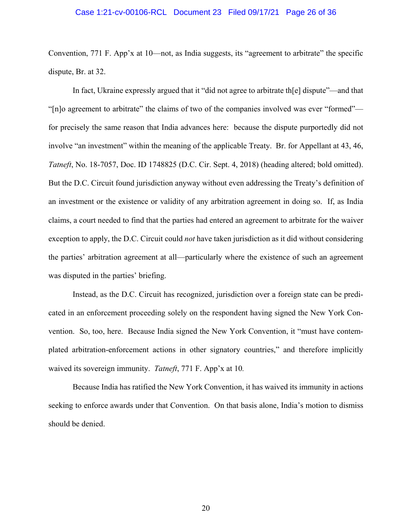#### Case 1:21-cv-00106-RCL Document 23 Filed 09/17/21 Page 26 of 36

Convention, 771 F. App'x at 10—not, as India suggests, its "agreement to arbitrate" the specific dispute, Br. at 32.

In fact, Ukraine expressly argued that it "did not agree to arbitrate th[e] dispute"—and that "[n]o agreement to arbitrate" the claims of two of the companies involved was ever "formed" for precisely the same reason that India advances here: because the dispute purportedly did not involve "an investment" within the meaning of the applicable Treaty. Br. for Appellant at 43, 46, *Tatneft*, No. 18-7057, Doc. ID 1748825 (D.C. Cir. Sept. 4, 2018) (heading altered; bold omitted). But the D.C. Circuit found jurisdiction anyway without even addressing the Treaty's definition of an investment or the existence or validity of any arbitration agreement in doing so. If, as India claims, a court needed to find that the parties had entered an agreement to arbitrate for the waiver exception to apply, the D.C. Circuit could *not* have taken jurisdiction as it did without considering the parties' arbitration agreement at all—particularly where the existence of such an agreement was disputed in the parties' briefing.

Instead, as the D.C. Circuit has recognized, jurisdiction over a foreign state can be predicated in an enforcement proceeding solely on the respondent having signed the New York Convention. So, too, here. Because India signed the New York Convention, it "must have contemplated arbitration-enforcement actions in other signatory countries," and therefore implicitly waived its sovereign immunity. *Tatneft*, 771 F. App'x at 10*.*

Because India has ratified the New York Convention, it has waived its immunity in actions seeking to enforce awards under that Convention. On that basis alone, India's motion to dismiss should be denied.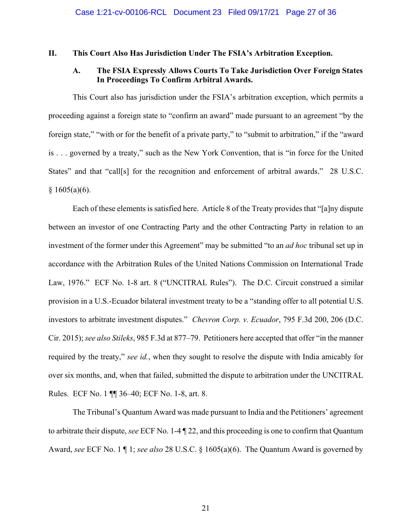#### **II. This Court Also Has Jurisdiction Under The FSIA's Arbitration Exception.**

## **A. The FSIA Expressly Allows Courts To Take Jurisdiction Over Foreign States In Proceedings To Confirm Arbitral Awards.**

This Court also has jurisdiction under the FSIA's arbitration exception, which permits a proceeding against a foreign state to "confirm an award" made pursuant to an agreement "by the foreign state," "with or for the benefit of a private party," to "submit to arbitration," if the "award is . . . governed by a treaty," such as the New York Convention, that is "in force for the United States" and that "call[s] for the recognition and enforcement of arbitral awards." 28 U.S.C.  $§ 1605(a)(6).$ 

Each of these elements is satisfied here. Article 8 of the Treaty provides that "[a]ny dispute between an investor of one Contracting Party and the other Contracting Party in relation to an investment of the former under this Agreement" may be submitted "to an *ad hoc* tribunal set up in accordance with the Arbitration Rules of the United Nations Commission on International Trade Law, 1976." ECF No. 1-8 art. 8 ("UNCITRAL Rules"). The D.C. Circuit construed a similar provision in a U.S.-Ecuador bilateral investment treaty to be a "standing offer to all potential U.S. investors to arbitrate investment disputes." *Chevron Corp. v. Ecuador*, 795 F.3d 200, 206 (D.C. Cir. 2015); *see also Stileks*, 985 F.3d at 877–79. Petitioners here accepted that offer "in the manner required by the treaty," *see id.*, when they sought to resolve the dispute with India amicably for over six months, and, when that failed, submitted the dispute to arbitration under the UNCITRAL Rules. ECF No. 1 ¶¶ 36–40; ECF No. 1-8, art. 8.

The Tribunal's Quantum Award was made pursuant to India and the Petitioners' agreement to arbitrate their dispute, *see* ECF No. 1-4 ¶ 22, and this proceeding is one to confirm that Quantum Award, *see* ECF No. 1 ¶ 1; *see also* 28 U.S.C. § 1605(a)(6). The Quantum Award is governed by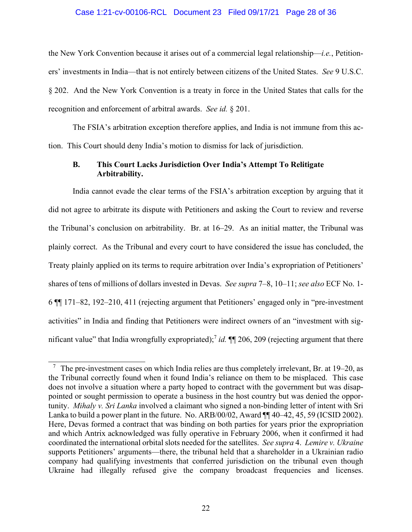#### Case 1:21-cv-00106-RCL Document 23 Filed 09/17/21 Page 28 of 36

the New York Convention because it arises out of a commercial legal relationship—*i.e.*, Petitioners' investments in India—that is not entirely between citizens of the United States. *See* 9 U.S.C. § 202. And the New York Convention is a treaty in force in the United States that calls for the recognition and enforcement of arbitral awards. *See id.* § 201.

The FSIA's arbitration exception therefore applies, and India is not immune from this action. This Court should deny India's motion to dismiss for lack of jurisdiction.

#### **B. This Court Lacks Jurisdiction Over India's Attempt To Relitigate Arbitrability.**

India cannot evade the clear terms of the FSIA's arbitration exception by arguing that it did not agree to arbitrate its dispute with Petitioners and asking the Court to review and reverse the Tribunal's conclusion on arbitrability. Br. at 16–29. As an initial matter, the Tribunal was plainly correct. As the Tribunal and every court to have considered the issue has concluded, the Treaty plainly applied on its terms to require arbitration over India's expropriation of Petitioners' shares of tens of millions of dollars invested in Devas. *See supra* 7–8, 10–11; *see also* ECF No. 1- 6 ¶¶ 171–82, 192–210, 411 (rejecting argument that Petitioners' engaged only in "pre-investment activities" in India and finding that Petitioners were indirect owners of an "investment with significant value" that India wrongfully expropriated);<sup>7</sup> id. ¶ 206, 209 (rejecting argument that there

<sup>7</sup> The pre-investment cases on which India relies are thus completely irrelevant, Br. at 19–20, as the Tribunal correctly found when it found India's reliance on them to be misplaced. This case does not involve a situation where a party hoped to contract with the government but was disappointed or sought permission to operate a business in the host country but was denied the opportunity. *Mihaly v. Sri Lanka* involved a claimant who signed a non-binding letter of intent with Sri Lanka to build a power plant in the future. No. ARB/00/02, Award  $\P$  40–42, 45, 59 (ICSID 2002). Here, Devas formed a contract that was binding on both parties for years prior the expropriation and which Antrix acknowledged was fully operative in February 2006, when it confirmed it had coordinated the international orbital slots needed for the satellites. *See supra* 4. *Lemire v. Ukraine*  supports Petitioners' arguments—there, the tribunal held that a shareholder in a Ukrainian radio company had qualifying investments that conferred jurisdiction on the tribunal even though Ukraine had illegally refused give the company broadcast frequencies and licenses.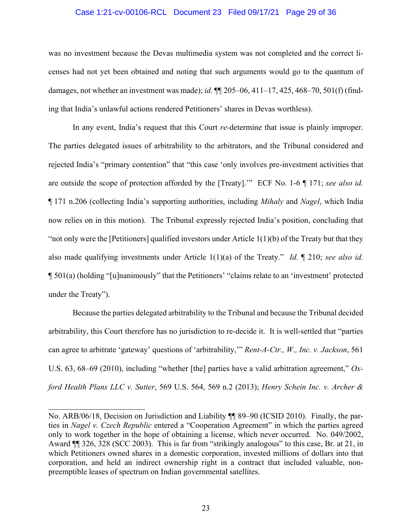#### Case 1:21-cv-00106-RCL Document 23 Filed 09/17/21 Page 29 of 36

was no investment because the Devas multimedia system was not completed and the correct licenses had not yet been obtained and noting that such arguments would go to the quantum of damages, not whether an investment was made); *id.* ¶¶ 205–06, 411–17, 425, 468–70, 501(f) (finding that India's unlawful actions rendered Petitioners' shares in Devas worthless).

In any event, India's request that this Court *re-*determine that issue is plainly improper. The parties delegated issues of arbitrability to the arbitrators, and the Tribunal considered and rejected India's "primary contention" that "this case 'only involves pre-investment activities that are outside the scope of protection afforded by the [Treaty].'" ECF No. 1-6 ¶ 171; *see also id.* ¶ 171 n.206 (collecting India's supporting authorities, including *Mihaly* and *Nagel*, which India now relies on in this motion). The Tribunal expressly rejected India's position, concluding that "not only were the [Petitioners] qualified investors under Article  $1(1)(b)$  of the Treaty but that they also made qualifying investments under Article 1(1)(a) of the Treaty." *Id.* ¶ 210; *see also id.* ¶ 501(a) (holding "[u]nanimously" that the Petitioners' "claims relate to an 'investment' protected under the Treaty").

Because the parties delegated arbitrability to the Tribunal and because the Tribunal decided arbitrability, this Court therefore has no jurisdiction to re-decide it. It is well-settled that "parties can agree to arbitrate 'gateway' questions of 'arbitrability,'" *Rent-A-Ctr., W., Inc. v. Jackson*, 561 U.S. 63, 68–69 (2010), including "whether [the] parties have a valid arbitration agreement," *Oxford Health Plans LLC v. Sutter*, 569 U.S. 564, 569 n.2 (2013); *Henry Schein Inc. v. Archer &* 

No. ARB/06/18, Decision on Jurisdiction and Liability ¶¶ 89–90 (ICSID 2010). Finally, the parties in *Nagel v. Czech Republic* entered a "Cooperation Agreement" in which the parties agreed only to work together in the hope of obtaining a license, which never occurred. No. 049/2002, Award ¶¶ 326, 328 (SCC 2003). This is far from "strikingly analogous" to this case, Br. at 21, in which Petitioners owned shares in a domestic corporation, invested millions of dollars into that corporation, and held an indirect ownership right in a contract that included valuable, nonpreemptible leases of spectrum on Indian governmental satellites.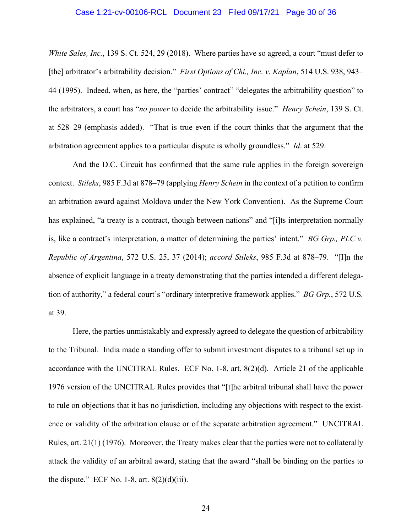#### Case 1:21-cv-00106-RCL Document 23 Filed 09/17/21 Page 30 of 36

*White Sales, Inc.*, 139 S. Ct. 524, 29 (2018). Where parties have so agreed, a court "must defer to [the] arbitrator's arbitrability decision." *First Options of Chi., Inc. v. Kaplan*, 514 U.S. 938, 943– 44 (1995). Indeed, when, as here, the "parties' contract" "delegates the arbitrability question" to the arbitrators, a court has "*no power* to decide the arbitrability issue." *Henry Schein*, 139 S. Ct. at 528–29 (emphasis added). "That is true even if the court thinks that the argument that the arbitration agreement applies to a particular dispute is wholly groundless." *Id*. at 529.

And the D.C. Circuit has confirmed that the same rule applies in the foreign sovereign context. *Stileks*, 985 F.3d at 878–79 (applying *Henry Schein* in the context of a petition to confirm an arbitration award against Moldova under the New York Convention). As the Supreme Court has explained, "a treaty is a contract, though between nations" and "[i]ts interpretation normally is, like a contract's interpretation, a matter of determining the parties' intent." *BG Grp., PLC v. Republic of Argentina*, 572 U.S. 25, 37 (2014); *accord Stileks*, 985 F.3d at 878–79. "[I]n the absence of explicit language in a treaty demonstrating that the parties intended a different delegation of authority," a federal court's "ordinary interpretive framework applies." *BG Grp.*, 572 U.S*.* at 39.

Here, the parties unmistakably and expressly agreed to delegate the question of arbitrability to the Tribunal. India made a standing offer to submit investment disputes to a tribunal set up in accordance with the UNCITRAL Rules. ECF No. 1-8, art. 8(2)(d). Article 21 of the applicable 1976 version of the UNCITRAL Rules provides that "[t]he arbitral tribunal shall have the power to rule on objections that it has no jurisdiction, including any objections with respect to the existence or validity of the arbitration clause or of the separate arbitration agreement." UNCITRAL Rules, art. 21(1) (1976). Moreover, the Treaty makes clear that the parties were not to collaterally attack the validity of an arbitral award, stating that the award "shall be binding on the parties to the dispute." ECF No. 1-8, art.  $8(2)(d)(iii)$ .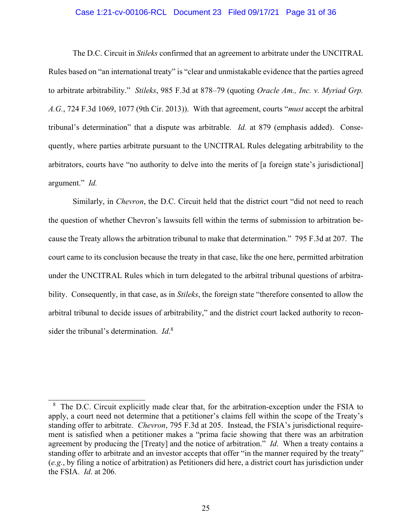#### Case 1:21-cv-00106-RCL Document 23 Filed 09/17/21 Page 31 of 36

The D.C. Circuit in *Stileks* confirmed that an agreement to arbitrate under the UNCITRAL Rules based on "an international treaty" is "clear and unmistakable evidence that the parties agreed to arbitrate arbitrability." *Stileks*, 985 F.3d at 878–79 (quoting *Oracle Am., Inc. v. Myriad Grp. A.G.*, 724 F.3d 1069, 1077 (9th Cir. 2013)). With that agreement, courts "*must* accept the arbitral tribunal's determination" that a dispute was arbitrable. *Id.* at 879 (emphasis added). Consequently, where parties arbitrate pursuant to the UNCITRAL Rules delegating arbitrability to the arbitrators, courts have "no authority to delve into the merits of [a foreign state's jurisdictional] argument." *Id.*

Similarly, in *Chevron*, the D.C. Circuit held that the district court "did not need to reach the question of whether Chevron's lawsuits fell within the terms of submission to arbitration because the Treaty allows the arbitration tribunal to make that determination." 795 F.3d at 207. The court came to its conclusion because the treaty in that case, like the one here, permitted arbitration under the UNCITRAL Rules which in turn delegated to the arbitral tribunal questions of arbitrability. Consequently, in that case, as in *Stileks*, the foreign state "therefore consented to allow the arbitral tribunal to decide issues of arbitrability," and the district court lacked authority to reconsider the tribunal's determination. *Id*. 8

<sup>&</sup>lt;sup>8</sup> The D.C. Circuit explicitly made clear that, for the arbitration-exception under the FSIA to apply, a court need not determine that a petitioner's claims fell within the scope of the Treaty's standing offer to arbitrate. *Chevron*, 795 F.3d at 205. Instead, the FSIA's jurisdictional requirement is satisfied when a petitioner makes a "prima facie showing that there was an arbitration agreement by producing the [Treaty] and the notice of arbitration." *Id*. When a treaty contains a standing offer to arbitrate and an investor accepts that offer "in the manner required by the treaty" (*e.g.*, by filing a notice of arbitration) as Petitioners did here, a district court has jurisdiction under the FSIA. *Id*. at 206.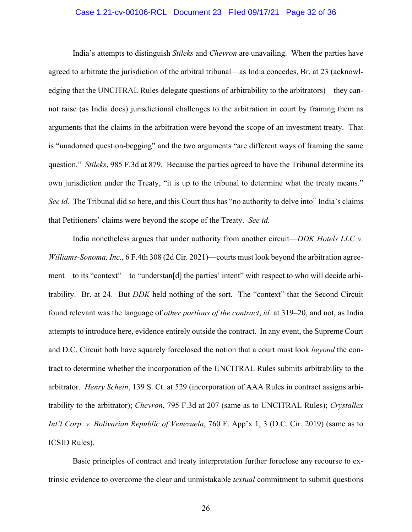#### Case 1:21-cv-00106-RCL Document 23 Filed 09/17/21 Page 32 of 36

India's attempts to distinguish *Stileks* and *Chevron* are unavailing. When the parties have agreed to arbitrate the jurisdiction of the arbitral tribunal—as India concedes, Br. at 23 (acknowledging that the UNCITRAL Rules delegate questions of arbitrability to the arbitrators)—they cannot raise (as India does) jurisdictional challenges to the arbitration in court by framing them as arguments that the claims in the arbitration were beyond the scope of an investment treaty. That is "unadorned question-begging" and the two arguments "are different ways of framing the same question." *Stileks*, 985 F.3d at 879. Because the parties agreed to have the Tribunal determine its own jurisdiction under the Treaty, "it is up to the tribunal to determine what the treaty means." *See id.* The Tribunal did so here, and this Court thus has "no authority to delve into" India's claims that Petitioners' claims were beyond the scope of the Treaty. *See id.*

India nonetheless argues that under authority from another circuit—*DDK Hotels LLC v. Williams-Sonoma, Inc.*, 6 F.4th 308 (2d Cir. 2021)—courts must look beyond the arbitration agreement—to its "context"—to "understan[d] the parties' intent" with respect to who will decide arbitrability. Br. at 24. But *DDK* held nothing of the sort. The "context" that the Second Circuit found relevant was the language of *other portions of the contract*, *id.* at 319–20, and not, as India attempts to introduce here, evidence entirely outside the contract. In any event, the Supreme Court and D.C. Circuit both have squarely foreclosed the notion that a court must look *beyond* the contract to determine whether the incorporation of the UNCITRAL Rules submits arbitrability to the arbitrator. *Henry Schein*, 139 S. Ct. at 529 (incorporation of AAA Rules in contract assigns arbitrability to the arbitrator); *Chevron*, 795 F.3d at 207 (same as to UNCITRAL Rules); *Crystallex Int'l Corp. v. Bolivarian Republic of Venezuela*, 760 F. App'x 1, 3 (D.C. Cir. 2019) (same as to ICSID Rules).

Basic principles of contract and treaty interpretation further foreclose any recourse to extrinsic evidence to overcome the clear and unmistakable *textual* commitment to submit questions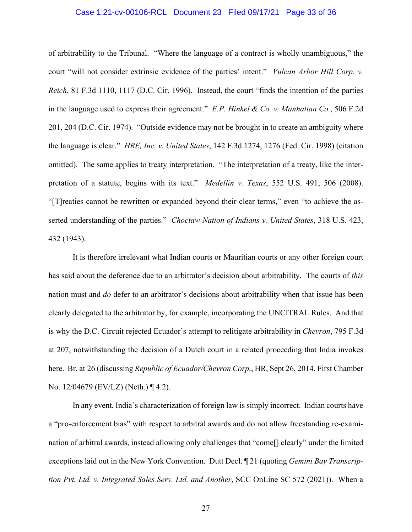#### Case 1:21-cv-00106-RCL Document 23 Filed 09/17/21 Page 33 of 36

of arbitrability to the Tribunal. "Where the language of a contract is wholly unambiguous," the court "will not consider extrinsic evidence of the parties' intent." *Vulcan Arbor Hill Corp. v. Reich*, 81 F.3d 1110, 1117 (D.C. Cir. 1996). Instead, the court "finds the intention of the parties in the language used to express their agreement." *E.P. Hinkel & Co. v. Manhattan Co.*, 506 F.2d 201, 204 (D.C. Cir. 1974). "Outside evidence may not be brought in to create an ambiguity where the language is clear." *HRE, Inc. v. United States*, 142 F.3d 1274, 1276 (Fed. Cir. 1998) (citation omitted). The same applies to treaty interpretation. "The interpretation of a treaty, like the interpretation of a statute, begins with its text." *Medellin v. Texas*, 552 U.S. 491, 506 (2008). "[T]reaties cannot be rewritten or expanded beyond their clear terms," even "to achieve the asserted understanding of the parties." *Choctaw Nation of Indians v. United States*, 318 U.S. 423, 432 (1943).

It is therefore irrelevant what Indian courts or Mauritian courts or any other foreign court has said about the deference due to an arbitrator's decision about arbitrability. The courts of *this*  nation must and *do* defer to an arbitrator's decisions about arbitrability when that issue has been clearly delegated to the arbitrator by, for example, incorporating the UNCITRAL Rules. And that is why the D.C. Circuit rejected Ecuador's attempt to relitigate arbitrability in *Chevron*, 795 F.3d at 207, notwithstanding the decision of a Dutch court in a related proceeding that India invokes here. Br. at 26 (discussing *Republic of Ecuador/Chevron Corp.*, HR, Sept 26, 2014, First Chamber No. 12/04679 (EV/LZ) (Neth.) ¶ 4.2).

In any event, India's characterization of foreign law is simply incorrect. Indian courts have a "pro-enforcement bias" with respect to arbitral awards and do not allow freestanding re-examination of arbitral awards, instead allowing only challenges that "come[] clearly" under the limited exceptions laid out in the New York Convention. Dutt Decl. ¶ 21 (quoting *Gemini Bay Transcription Pvt. Ltd. v. Integrated Sales Serv. Ltd. and Another*, SCC OnLine SC 572 (2021)). When a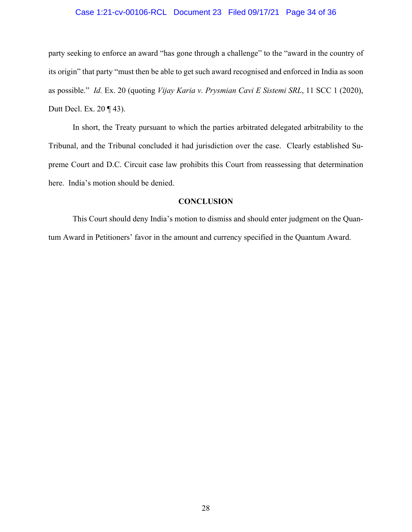#### Case 1:21-cv-00106-RCL Document 23 Filed 09/17/21 Page 34 of 36

party seeking to enforce an award "has gone through a challenge" to the "award in the country of its origin" that party "must then be able to get such award recognised and enforced in India as soon as possible." *Id.* Ex. 20 (quoting *Vijay Karia v. Prysmian Cavi E Sistemi SRL*, 11 SCC 1 (2020), Dutt Decl. Ex. 20 ¶ 43).

In short, the Treaty pursuant to which the parties arbitrated delegated arbitrability to the Tribunal, and the Tribunal concluded it had jurisdiction over the case. Clearly established Supreme Court and D.C. Circuit case law prohibits this Court from reassessing that determination here. India's motion should be denied.

#### **CONCLUSION**

This Court should deny India's motion to dismiss and should enter judgment on the Quantum Award in Petitioners' favor in the amount and currency specified in the Quantum Award.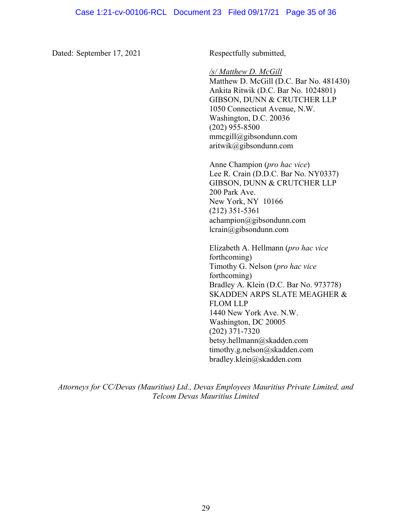Dated: September 17, 2021 Respectfully submitted,

*/s/ Matthew D. McGill*

Matthew D. McGill (D.C. Bar No. 481430) Ankita Ritwik (D.C. Bar No. 1024801) GIBSON, DUNN & CRUTCHER LLP 1050 Connecticut Avenue, N.W. Washington, D.C. 20036 (202) 955-8500 mmcgill@gibsondunn.com aritwik@gibsondunn.com

Anne Champion (*pro hac vice*) Lee R. Crain (D.D.C. Bar No. NY0337) GIBSON, DUNN & CRUTCHER LLP 200 Park Ave. New York, NY 10166 (212) 351-5361 achampion@gibsondunn.com lcrain@gibsondunn.com

Elizabeth A. Hellmann (*pro hac vice* forthcoming) Timothy G. Nelson (*pro hac vice* forthcoming) Bradley A. Klein (D.C. Bar No. 973778) SKADDEN ARPS SLATE MEAGHER & FLOM LLP 1440 New York Ave. N.W. Washington, DC 20005 (202) 371-7320 betsy.hellmann@skadden.com timothy.g.nelson@skadden.com bradley.klein@skadden.com

*Attorneys for CC/Devas (Mauritius) Ltd., Devas Employees Mauritius Private Limited, and Telcom Devas Mauritius Limited*